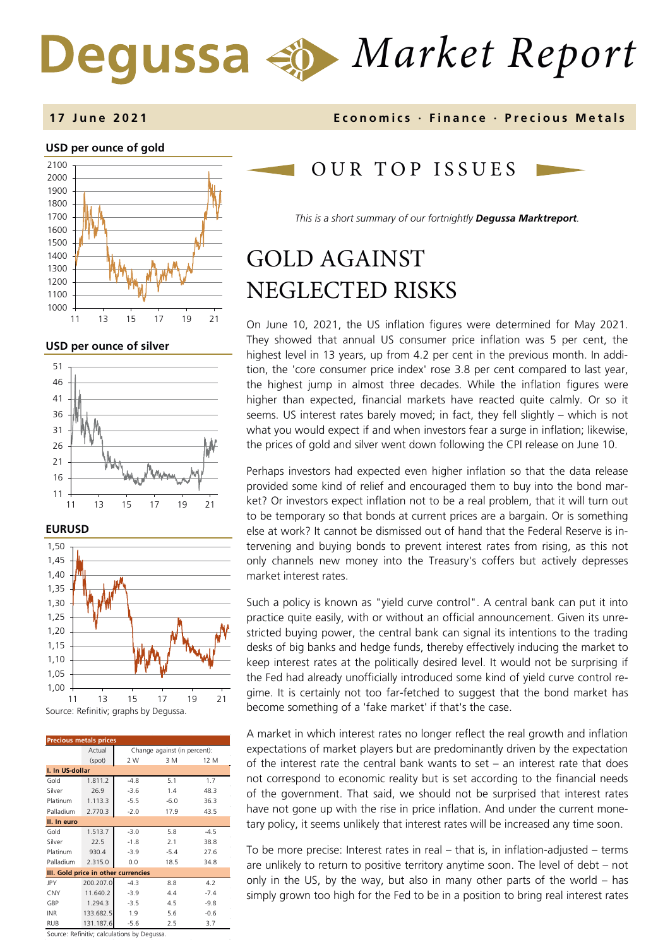# *Market Report*

### **1 7 June 202 1 Economics · Finance · Precious M etals**

#### **USD per ounce of gold**



**USD per ounce of silver** 







| <b>Precious metals prices</b>       |                 |                                            |        |        |  |
|-------------------------------------|-----------------|--------------------------------------------|--------|--------|--|
|                                     | Actual          | Change against (in percent):               |        |        |  |
|                                     | (spot)          | 2 W                                        | 3 M    | 12 M   |  |
|                                     | I. In US-dollar |                                            |        |        |  |
| Gold                                | 1.811.2         | $-4.8$                                     | 5.1    | 1.7    |  |
| Silver                              | 26.9            | $-3.6$                                     | 1.4    | 48.3   |  |
| Platinum                            | 1.113.3         | $-5.5$                                     | $-6.0$ | 36.3   |  |
| Palladium                           | 2.770.3         | $-2.0$                                     | 17.9   | 43.5   |  |
| II. In euro                         |                 |                                            |        |        |  |
| Gold                                | 1.513.7         | $-3.0$                                     | 5.8    | $-4.5$ |  |
| Silver                              | 22.5            | $-1.8$                                     | 2.1    | 38.8   |  |
| Platinum                            | 930.4           | $-3.9$                                     | $-5.4$ | 27.6   |  |
| Palladium                           | 2.315.0         | 0.0                                        | 18.5   | 34.8   |  |
| III. Gold price in other currencies |                 |                                            |        |        |  |
| JPY                                 | 200.207.0       | $-4.3$                                     | 8.8    | 4.2    |  |
| <b>CNY</b>                          | 11.640.2        | $-3.9$                                     | 4.4    | $-7.4$ |  |
| GBP                                 | 1.294.3         | $-3.5$                                     | 4.5    | $-9.8$ |  |
| <b>INR</b>                          | 133.682.5       | 1.9                                        | 5.6    | $-0.6$ |  |
| RUB                                 | 131.187.6       | $-5.6$                                     | 2.5    | 3.7    |  |
|                                     |                 | Course: Refinitive salsulations by Degussa |        |        |  |

OUR TOP ISSUE S

*This is a short summary of our fortnightly Degussa Marktreport.*

# GOLD AGAINST NEGLECTED RISKS

On June 10, 2021, the US inflation figures were determined for May 2021. They showed that annual US consumer price inflation was 5 per cent, the highest level in 13 years, up from 4.2 per cent in the previous month. In addition, the 'core consumer price index' rose 3.8 per cent compared to last year, the highest jump in almost three decades. While the inflation figures were higher than expected, financial markets have reacted quite calmly. Or so it seems. US interest rates barely moved; in fact, they fell slightly – which is not what you would expect if and when investors fear a surge in inflation; likewise, the prices of gold and silver went down following the CPI release on June 10.

Perhaps investors had expected even higher inflation so that the data release provided some kind of relief and encouraged them to buy into the bond market? Or investors expect inflation not to be a real problem, that it will turn out to be temporary so that bonds at current prices are a bargain. Or is something else at work? It cannot be dismissed out of hand that the Federal Reserve is intervening and buying bonds to prevent interest rates from rising, as this not only channels new money into the Treasury's coffers but actively depresses market interest rates.

Such a policy is known as "yield curve control". A central bank can put it into practice quite easily, with or without an official announcement. Given its unrestricted buying power, the central bank can signal its intentions to the trading desks of big banks and hedge funds, thereby effectively inducing the market to keep interest rates at the politically desired level. It would not be surprising if the Fed had already unofficially introduced some kind of yield curve control regime. It is certainly not too far-fetched to suggest that the bond market has become something of a 'fake market' if that's the case.

A market in which interest rates no longer reflect the real growth and inflation expectations of market players but are predominantly driven by the expectation of the interest rate the central bank wants to set – an interest rate that does not correspond to economic reality but is set according to the financial needs of the government. That said, we should not be surprised that interest rates have not gone up with the rise in price inflation. And under the current monetary policy, it seems unlikely that interest rates will be increased any time soon.

To be more precise: Interest rates in real  $-$  that is, in inflation-adjusted  $-$  terms are unlikely to return to positive territory anytime soon. The level of debt – not only in the US, by the way, but also in many other parts of the world – has simply grown too high for the Fed to be in a position to bring real interest rates

Refinitiv: calcul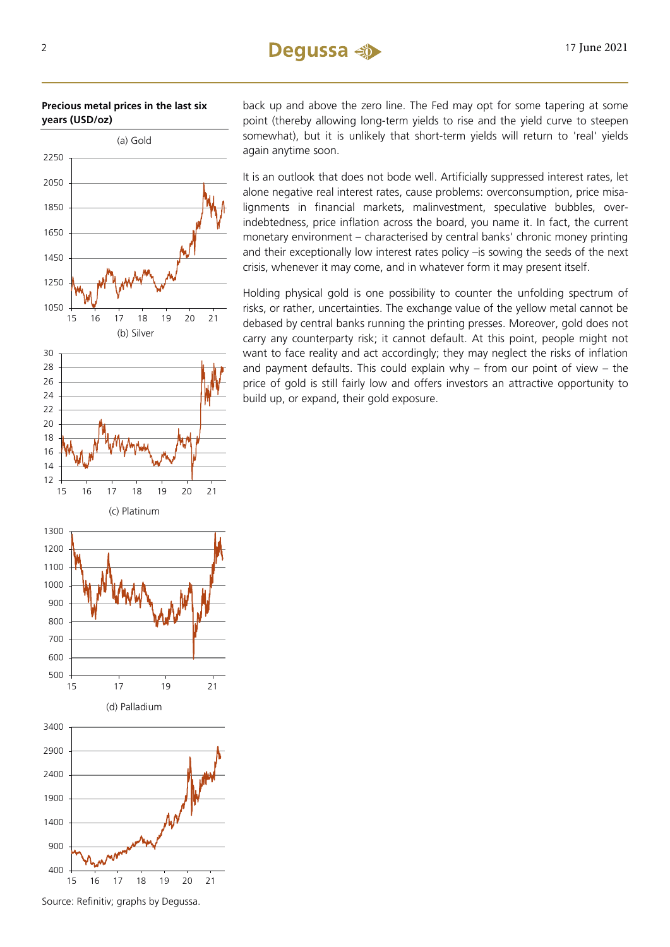**Precious metal prices in the last six years (USD/oz)** 



back up and above the zero line. The Fed may opt for some tapering at some point (thereby allowing long-term yields to rise and the yield curve to steepen somewhat), but it is unlikely that short-term yields will return to 'real' yields again anytime soon.

It is an outlook that does not bode well. Artificially suppressed interest rates, let alone negative real interest rates, cause problems: overconsumption, price misalignments in financial markets, malinvestment, speculative bubbles, overindebtedness, price inflation across the board, you name it. In fact, the current monetary environment – characterised by central banks' chronic money printing and their exceptionally low interest rates policy –is sowing the seeds of the next crisis, whenever it may come, and in whatever form it may present itself.

Holding physical gold is one possibility to counter the unfolding spectrum of risks, or rather, uncertainties. The exchange value of the yellow metal cannot be debased by central banks running the printing presses. Moreover, gold does not carry any counterparty risk; it cannot default. At this point, people might not want to face reality and act accordingly; they may neglect the risks of inflation and payment defaults. This could explain why – from our point of view – the price of gold is still fairly low and offers investors an attractive opportunity to build up, or expand, their gold exposure.

15 16 17 18 19 20 21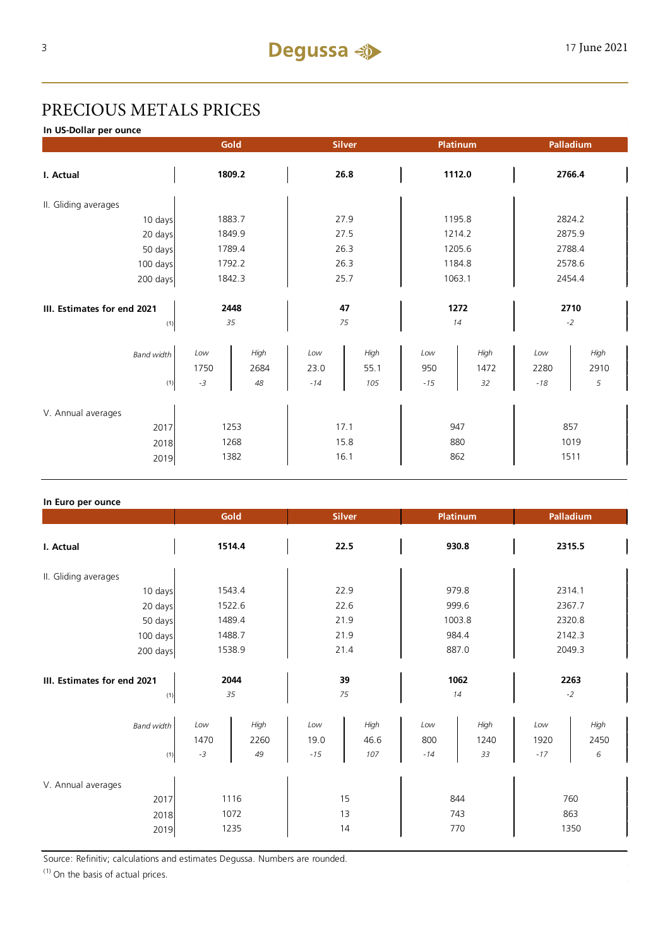# PRECIOUS METALS PRICES

**In US-Dollar per ounce**

|                                     | Gold        |              | <b>Silver</b> |              | Platinum   |              | Palladium   |              |  |
|-------------------------------------|-------------|--------------|---------------|--------------|------------|--------------|-------------|--------------|--|
| I. Actual                           | 1809.2      |              | 26.8          |              | 1112.0     |              | 2766.4      |              |  |
| II. Gliding averages                |             |              |               |              |            |              |             |              |  |
| 10 days                             | 1883.7      |              | 27.9          |              | 1195.8     |              | 2824.2      |              |  |
| 20 days                             |             | 1849.9       |               | 27.5         |            | 1214.2       |             | 2875.9       |  |
| 50 days                             |             | 1789.4       |               | 26.3         |            | 1205.6       |             | 2788.4       |  |
| 100 days                            |             | 1792.2       |               | 26.3         |            | 1184.8       |             | 2578.6       |  |
| 200 days                            | 1842.3      |              | 25.7          |              | 1063.1     |              | 2454.4      |              |  |
| III. Estimates for end 2021<br>2448 |             | 47           |               | 1272         |            | 2710         |             |              |  |
| (1)                                 |             | 35           |               | 75           |            | 14           |             | $-2$         |  |
| <b>Band width</b>                   | Low<br>1750 | High<br>2684 | Low<br>23.0   | High<br>55.1 | Low<br>950 | High<br>1472 | Low<br>2280 | High<br>2910 |  |
| (1)                                 | $-3$        | 48           | $-14$         | 105          | $-15$      | 32           | $-18$       | 5            |  |
| V. Annual averages                  |             |              |               |              |            |              |             |              |  |
| 2017                                | 1253        |              | 17.1          |              | 947        |              | 857         |              |  |
| 2018                                | 1268        |              | 15.8          |              | 880        |              | 1019        |              |  |
| 2019                                | 1382        |              | 16.1          |              | 862        |              | 1511        |              |  |

#### **In Euro per ounce**

|                                            | Gold                |                      |                      | <b>Silver</b>       |                     | <b>Platinum</b>    |                      | Palladium          |  |
|--------------------------------------------|---------------------|----------------------|----------------------|---------------------|---------------------|--------------------|----------------------|--------------------|--|
| I. Actual                                  | 1514.4              |                      | 22.5                 |                     | 930.8               |                    | 2315.5               |                    |  |
| II. Gliding averages                       |                     |                      |                      |                     |                     |                    |                      |                    |  |
| 10 days                                    | 1543.4              |                      | 22.9                 |                     | 979.8               |                    | 2314.1               |                    |  |
| 20 days                                    | 1522.6              |                      | 22.6                 |                     | 999.6               |                    | 2367.7               |                    |  |
| 50 days                                    | 1489.4              |                      | 21.9                 |                     | 1003.8              |                    | 2320.8               |                    |  |
| 100 days                                   |                     | 1488.7               |                      | 21.9                |                     | 984.4              |                      | 2142.3             |  |
| 200 days                                   | 1538.9              |                      | 21.4                 |                     | 887.0               |                    | 2049.3               |                    |  |
| III. Estimates for end 2021<br>(1)         | 2044<br>35          |                      | 39<br>75             |                     | 1062<br>14          |                    | 2263<br>$-2$         |                    |  |
| <b>Band width</b><br>(1)                   | Low<br>1470<br>$-3$ | High<br>2260<br>49   | Low<br>19.0<br>$-15$ | High<br>46.6<br>107 | Low<br>800<br>$-14$ | High<br>1240<br>33 | Low<br>1920<br>$-17$ | High<br>2450<br>6  |  |
| V. Annual averages<br>2017<br>2018<br>2019 |                     | 1116<br>1072<br>1235 |                      | 15<br>13<br>14      |                     | 844<br>743<br>770  |                      | 760<br>863<br>1350 |  |

Source: Refinitiv; calculations and estimates Degussa. Numbers are rounded.

 $(1)$  On the basis of actual prices.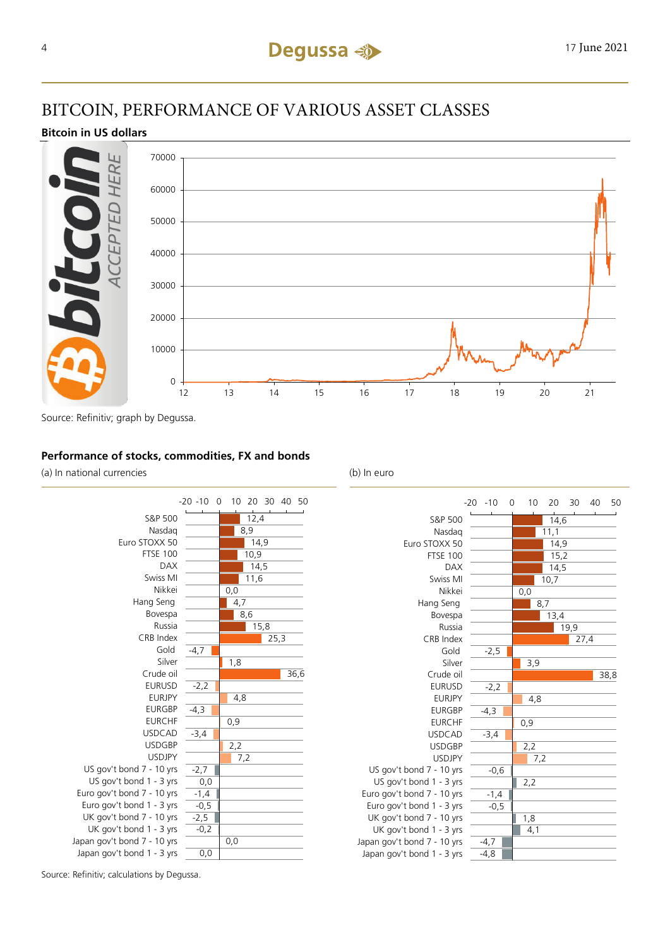# BITCOIN, PERFORMANCE OF VARIOUS ASSET CLASSES

## **Bitcoin in US dollars**



Source: Refinitiv; graph by Degussa.

## **Performance of stocks, commodities, FX and bonds**

(a) In national currencies (b) In euro





Source: Refinitiv; calculations by Degussa.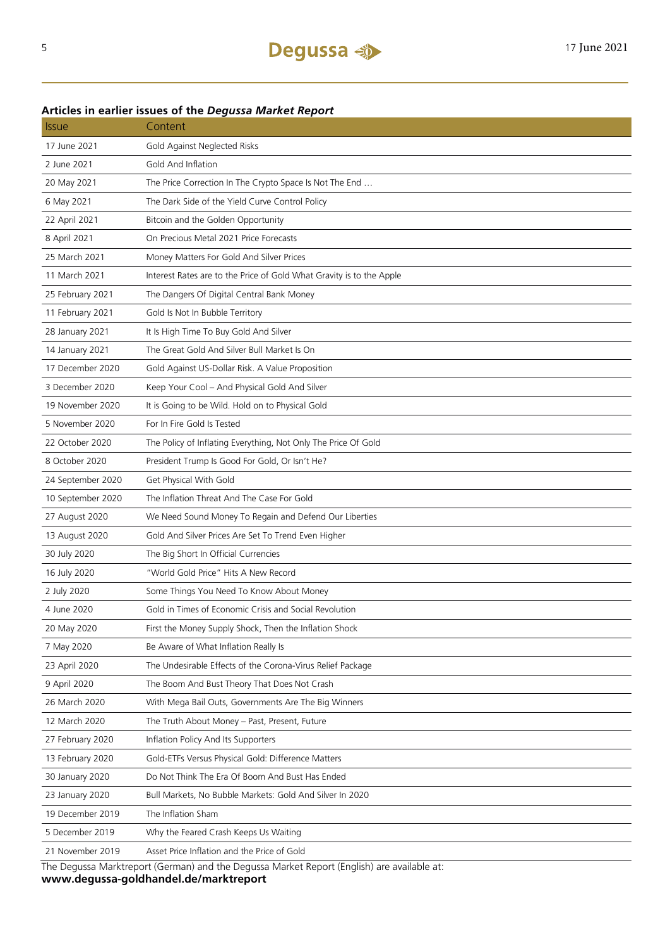## **Articles in earlier issues of the** *Degussa Market Report*

| <i><b>Issue</b></i> | Content                                                                                    |
|---------------------|--------------------------------------------------------------------------------------------|
| 17 June 2021        | Gold Against Neglected Risks                                                               |
| 2 June 2021         | Gold And Inflation                                                                         |
| 20 May 2021         | The Price Correction In The Crypto Space Is Not The End                                    |
| 6 May 2021          | The Dark Side of the Yield Curve Control Policy                                            |
| 22 April 2021       | Bitcoin and the Golden Opportunity                                                         |
| 8 April 2021        | On Precious Metal 2021 Price Forecasts                                                     |
| 25 March 2021       | Money Matters For Gold And Silver Prices                                                   |
| 11 March 2021       | Interest Rates are to the Price of Gold What Gravity is to the Apple                       |
| 25 February 2021    | The Dangers Of Digital Central Bank Money                                                  |
| 11 February 2021    | Gold Is Not In Bubble Territory                                                            |
| 28 January 2021     | It Is High Time To Buy Gold And Silver                                                     |
| 14 January 2021     | The Great Gold And Silver Bull Market Is On                                                |
| 17 December 2020    | Gold Against US-Dollar Risk. A Value Proposition                                           |
| 3 December 2020     | Keep Your Cool - And Physical Gold And Silver                                              |
| 19 November 2020    | It is Going to be Wild. Hold on to Physical Gold                                           |
| 5 November 2020     | For In Fire Gold Is Tested                                                                 |
| 22 October 2020     | The Policy of Inflating Everything, Not Only The Price Of Gold                             |
| 8 October 2020      | President Trump Is Good For Gold, Or Isn't He?                                             |
| 24 September 2020   | Get Physical With Gold                                                                     |
| 10 September 2020   | The Inflation Threat And The Case For Gold                                                 |
| 27 August 2020      | We Need Sound Money To Regain and Defend Our Liberties                                     |
| 13 August 2020      | Gold And Silver Prices Are Set To Trend Even Higher                                        |
| 30 July 2020        | The Big Short In Official Currencies                                                       |
| 16 July 2020        | "World Gold Price" Hits A New Record                                                       |
| 2 July 2020         | Some Things You Need To Know About Money                                                   |
| 4 June 2020         | Gold in Times of Economic Crisis and Social Revolution                                     |
| 20 May 2020         | First the Money Supply Shock, Then the Inflation Shock                                     |
| 7 May 2020          | Be Aware of What Inflation Really Is                                                       |
| 23 April 2020       | The Undesirable Effects of the Corona-Virus Relief Package                                 |
| 9 April 2020        | The Boom And Bust Theory That Does Not Crash                                               |
| 26 March 2020       | With Mega Bail Outs, Governments Are The Big Winners                                       |
| 12 March 2020       | The Truth About Money - Past, Present, Future                                              |
| 27 February 2020    | Inflation Policy And Its Supporters                                                        |
| 13 February 2020    | Gold-ETFs Versus Physical Gold: Difference Matters                                         |
| 30 January 2020     | Do Not Think The Era Of Boom And Bust Has Ended                                            |
| 23 January 2020     | Bull Markets, No Bubble Markets: Gold And Silver In 2020                                   |
| 19 December 2019    | The Inflation Sham                                                                         |
| 5 December 2019     | Why the Feared Crash Keeps Us Waiting                                                      |
| 21 November 2019    | Asset Price Inflation and the Price of Gold                                                |
|                     | The Dequese Marktroport (German) and the Dequese Market Penert (English) are available at: |

The Degussa Marktreport (German) and the Degussa Market Report (English) are available at: **www.degussa-goldhandel.de/marktreport**